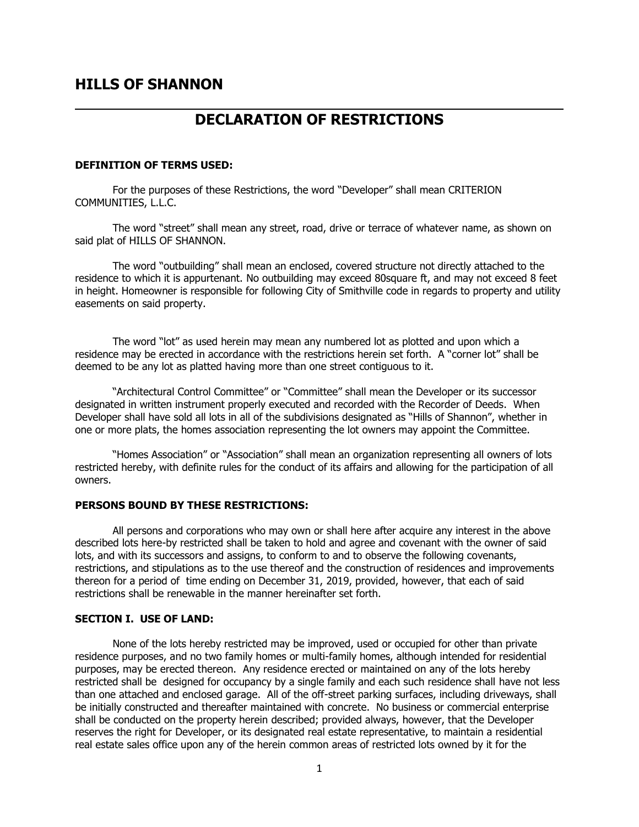# **DECLARATION OF RESTRICTIONS**

### **DEFINITION OF TERMS USED:**

For the purposes of these Restrictions, the word "Developer" shall mean CRITERION COMMUNITIES, L.L.C.

The word "street" shall mean any street, road, drive or terrace of whatever name, as shown on said plat of HILLS OF SHANNON.

The word "outbuilding" shall mean an enclosed, covered structure not directly attached to the residence to which it is appurtenant. No outbuilding may exceed 80square ft, and may not exceed 8 feet in height. Homeowner is responsible for following City of Smithville code in regards to property and utility easements on said property.

The word "lot" as used herein may mean any numbered lot as plotted and upon which a residence may be erected in accordance with the restrictions herein set forth. A "corner lot" shall be deemed to be any lot as platted having more than one street contiguous to it.

"Architectural Control Committee" or "Committee" shall mean the Developer or its successor designated in written instrument properly executed and recorded with the Recorder of Deeds. When Developer shall have sold all lots in all of the subdivisions designated as "Hills of Shannon", whether in one or more plats, the homes association representing the lot owners may appoint the Committee.

"Homes Association" or "Association" shall mean an organization representing all owners of lots restricted hereby, with definite rules for the conduct of its affairs and allowing for the participation of all owners.

## **PERSONS BOUND BY THESE RESTRICTIONS:**

All persons and corporations who may own or shall here after acquire any interest in the above described lots here-by restricted shall be taken to hold and agree and covenant with the owner of said lots, and with its successors and assigns, to conform to and to observe the following covenants, restrictions, and stipulations as to the use thereof and the construction of residences and improvements thereon for a period of time ending on December 31, 2019, provided, however, that each of said restrictions shall be renewable in the manner hereinafter set forth.

#### **SECTION I. USE OF LAND:**

None of the lots hereby restricted may be improved, used or occupied for other than private residence purposes, and no two family homes or multi-family homes, although intended for residential purposes, may be erected thereon. Any residence erected or maintained on any of the lots hereby restricted shall be designed for occupancy by a single family and each such residence shall have not less than one attached and enclosed garage. All of the off-street parking surfaces, including driveways, shall be initially constructed and thereafter maintained with concrete. No business or commercial enterprise shall be conducted on the property herein described; provided always, however, that the Developer reserves the right for Developer, or its designated real estate representative, to maintain a residential real estate sales office upon any of the herein common areas of restricted lots owned by it for the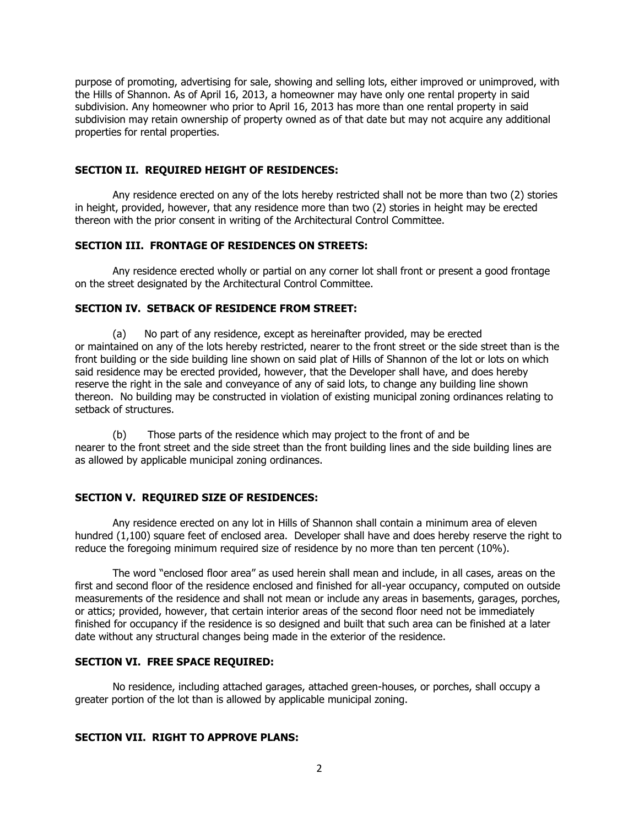purpose of promoting, advertising for sale, showing and selling lots, either improved or unimproved, with the Hills of Shannon. As of April 16, 2013, a homeowner may have only one rental property in said subdivision. Any homeowner who prior to April 16, 2013 has more than one rental property in said subdivision may retain ownership of property owned as of that date but may not acquire any additional properties for rental properties.

# **SECTION II. REQUIRED HEIGHT OF RESIDENCES:**

Any residence erected on any of the lots hereby restricted shall not be more than two (2) stories in height, provided, however, that any residence more than two (2) stories in height may be erected thereon with the prior consent in writing of the Architectural Control Committee.

## **SECTION III. FRONTAGE OF RESIDENCES ON STREETS:**

Any residence erected wholly or partial on any corner lot shall front or present a good frontage on the street designated by the Architectural Control Committee.

## **SECTION IV. SETBACK OF RESIDENCE FROM STREET:**

(a) No part of any residence, except as hereinafter provided, may be erected or maintained on any of the lots hereby restricted, nearer to the front street or the side street than is the front building or the side building line shown on said plat of Hills of Shannon of the lot or lots on which said residence may be erected provided, however, that the Developer shall have, and does hereby reserve the right in the sale and conveyance of any of said lots, to change any building line shown thereon. No building may be constructed in violation of existing municipal zoning ordinances relating to setback of structures.

(b) Those parts of the residence which may project to the front of and be nearer to the front street and the side street than the front building lines and the side building lines are as allowed by applicable municipal zoning ordinances.

# **SECTION V. REQUIRED SIZE OF RESIDENCES:**

Any residence erected on any lot in Hills of Shannon shall contain a minimum area of eleven hundred (1,100) square feet of enclosed area. Developer shall have and does hereby reserve the right to reduce the foregoing minimum required size of residence by no more than ten percent (10%).

The word "enclosed floor area" as used herein shall mean and include, in all cases, areas on the first and second floor of the residence enclosed and finished for all-year occupancy, computed on outside measurements of the residence and shall not mean or include any areas in basements, garages, porches, or attics; provided, however, that certain interior areas of the second floor need not be immediately finished for occupancy if the residence is so designed and built that such area can be finished at a later date without any structural changes being made in the exterior of the residence.

## **SECTION VI. FREE SPACE REQUIRED:**

No residence, including attached garages, attached green-houses, or porches, shall occupy a greater portion of the lot than is allowed by applicable municipal zoning.

# **SECTION VII. RIGHT TO APPROVE PLANS:**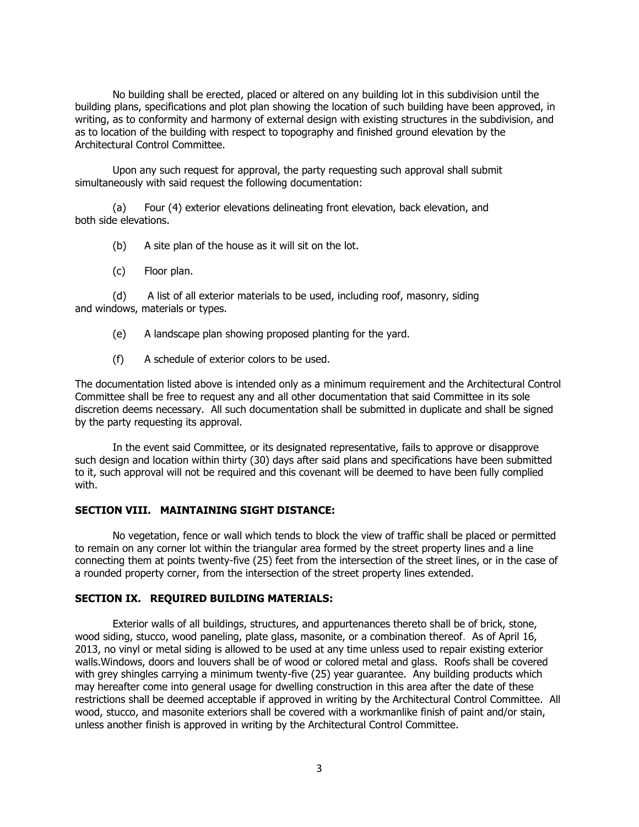No building shall be erected, placed or altered on any building lot in this subdivision until the building plans, specifications and plot plan showing the location of such building have been approved, in writing, as to conformity and harmony of external design with existing structures in the subdivision, and as to location of the building with respect to topography and finished ground elevation by the Architectural Control Committee.

Upon any such request for approval, the party requesting such approval shall submit simultaneously with said request the following documentation:

(a) Four (4) exterior elevations delineating front elevation, back elevation, and both side elevations.

(b) A site plan of the house as it will sit on the lot.

(c) Floor plan.

(d) A list of all exterior materials to be used, including roof, masonry, siding and windows, materials or types.

(e) A landscape plan showing proposed planting for the yard.

(f) A schedule of exterior colors to be used.

The documentation listed above is intended only as a minimum requirement and the Architectural Control Committee shall be free to request any and all other documentation that said Committee in its sole discretion deems necessary. All such documentation shall be submitted in duplicate and shall be signed by the party requesting its approval.

In the event said Committee, or its designated representative, fails to approve or disapprove such design and location within thirty (30) days after said plans and specifications have been submitted to it, such approval will not be required and this covenant will be deemed to have been fully complied with.

# **SECTION VIII. MAINTAINING SIGHT DISTANCE:**

No vegetation, fence or wall which tends to block the view of traffic shall be placed or permitted to remain on any corner lot within the triangular area formed by the street property lines and a line connecting them at points twenty-five (25) feet from the intersection of the street lines, or in the case of a rounded property corner, from the intersection of the street property lines extended.

#### **SECTION IX. REQUIRED BUILDING MATERIALS:**

Exterior walls of all buildings, structures, and appurtenances thereto shall be of brick, stone, wood siding, stucco, wood paneling, plate glass, masonite, or a combination thereof. As of April 16, 2013, no vinyl or metal siding is allowed to be used at any time unless used to repair existing exterior walls.Windows, doors and louvers shall be of wood or colored metal and glass. Roofs shall be covered with grey shingles carrying a minimum twenty-five (25) year guarantee. Any building products which may hereafter come into general usage for dwelling construction in this area after the date of these restrictions shall be deemed acceptable if approved in writing by the Architectural Control Committee. All wood, stucco, and masonite exteriors shall be covered with a workmanlike finish of paint and/or stain, unless another finish is approved in writing by the Architectural Control Committee.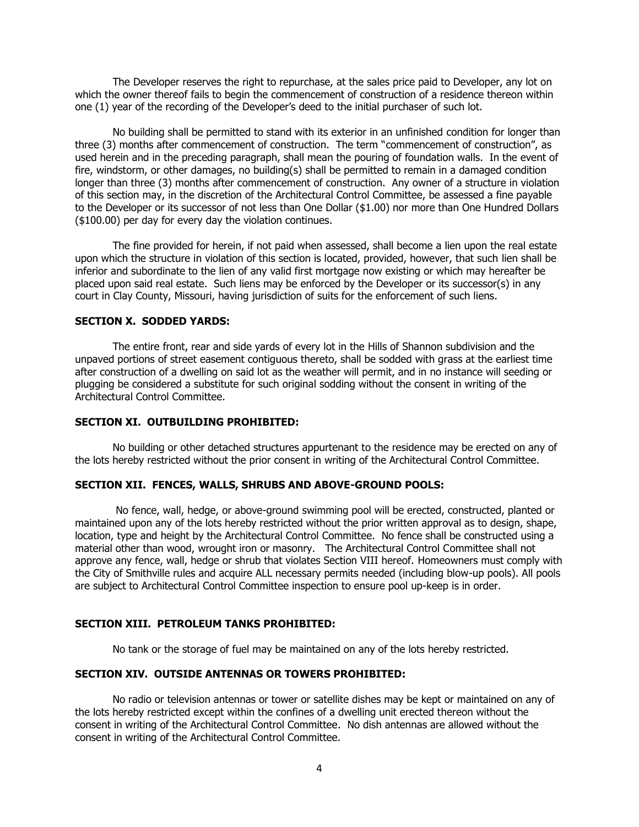The Developer reserves the right to repurchase, at the sales price paid to Developer, any lot on which the owner thereof fails to begin the commencement of construction of a residence thereon within one (1) year of the recording of the Developer's deed to the initial purchaser of such lot.

No building shall be permitted to stand with its exterior in an unfinished condition for longer than three (3) months after commencement of construction. The term "commencement of construction", as used herein and in the preceding paragraph, shall mean the pouring of foundation walls. In the event of fire, windstorm, or other damages, no building(s) shall be permitted to remain in a damaged condition longer than three (3) months after commencement of construction. Any owner of a structure in violation of this section may, in the discretion of the Architectural Control Committee, be assessed a fine payable to the Developer or its successor of not less than One Dollar (\$1.00) nor more than One Hundred Dollars (\$100.00) per day for every day the violation continues.

The fine provided for herein, if not paid when assessed, shall become a lien upon the real estate upon which the structure in violation of this section is located, provided, however, that such lien shall be inferior and subordinate to the lien of any valid first mortgage now existing or which may hereafter be placed upon said real estate. Such liens may be enforced by the Developer or its successor(s) in any court in Clay County, Missouri, having jurisdiction of suits for the enforcement of such liens.

# **SECTION X. SODDED YARDS:**

The entire front, rear and side yards of every lot in the Hills of Shannon subdivision and the unpaved portions of street easement contiguous thereto, shall be sodded with grass at the earliest time after construction of a dwelling on said lot as the weather will permit, and in no instance will seeding or plugging be considered a substitute for such original sodding without the consent in writing of the Architectural Control Committee.

#### **SECTION XI. OUTBUILDING PROHIBITED:**

No building or other detached structures appurtenant to the residence may be erected on any of the lots hereby restricted without the prior consent in writing of the Architectural Control Committee.

#### **SECTION XII. FENCES, WALLS, SHRUBS AND ABOVE-GROUND POOLS:**

No fence, wall, hedge, or above-ground swimming pool will be erected, constructed, planted or maintained upon any of the lots hereby restricted without the prior written approval as to design, shape, location, type and height by the Architectural Control Committee. No fence shall be constructed using a material other than wood, wrought iron or masonry. The Architectural Control Committee shall not approve any fence, wall, hedge or shrub that violates Section VIII hereof. Homeowners must comply with the City of Smithville rules and acquire ALL necessary permits needed (including blow-up pools). All pools are subject to Architectural Control Committee inspection to ensure pool up-keep is in order.

#### **SECTION XIII. PETROLEUM TANKS PROHIBITED:**

No tank or the storage of fuel may be maintained on any of the lots hereby restricted.

## **SECTION XIV. OUTSIDE ANTENNAS OR TOWERS PROHIBITED:**

No radio or television antennas or tower or satellite dishes may be kept or maintained on any of the lots hereby restricted except within the confines of a dwelling unit erected thereon without the consent in writing of the Architectural Control Committee. No dish antennas are allowed without the consent in writing of the Architectural Control Committee.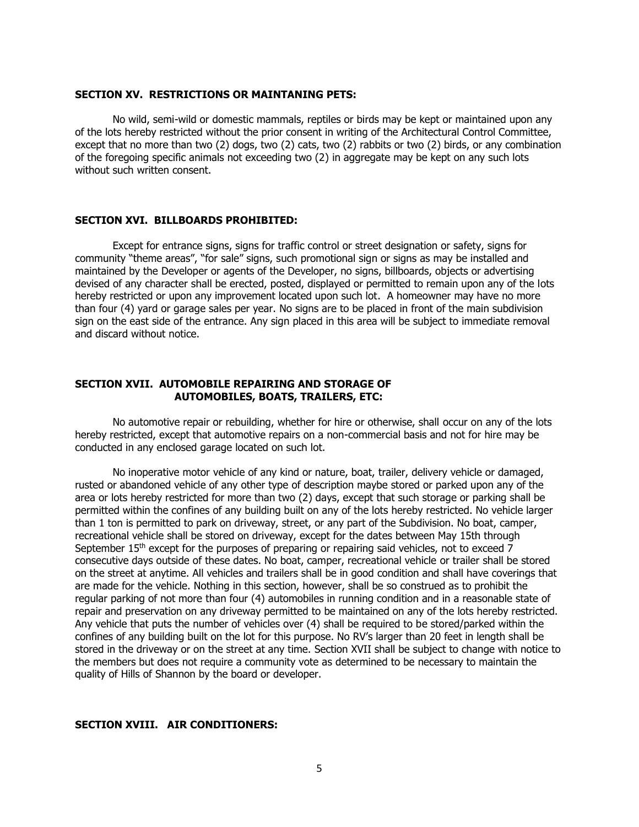#### **SECTION XV. RESTRICTIONS OR MAINTANING PETS:**

No wild, semi-wild or domestic mammals, reptiles or birds may be kept or maintained upon any of the lots hereby restricted without the prior consent in writing of the Architectural Control Committee, except that no more than two (2) dogs, two (2) cats, two (2) rabbits or two (2) birds, or any combination of the foregoing specific animals not exceeding two (2) in aggregate may be kept on any such lots without such written consent.

## **SECTION XVI. BILLBOARDS PROHIBITED:**

Except for entrance signs, signs for traffic control or street designation or safety, signs for community "theme areas", "for sale" signs, such promotional sign or signs as may be installed and maintained by the Developer or agents of the Developer, no signs, billboards, objects or advertising devised of any character shall be erected, posted, displayed or permitted to remain upon any of the lots hereby restricted or upon any improvement located upon such lot. A homeowner may have no more than four (4) yard or garage sales per year. No signs are to be placed in front of the main subdivision sign on the east side of the entrance. Any sign placed in this area will be subject to immediate removal and discard without notice.

# **SECTION XVII. AUTOMOBILE REPAIRING AND STORAGE OF AUTOMOBILES, BOATS, TRAILERS, ETC:**

No automotive repair or rebuilding, whether for hire or otherwise, shall occur on any of the lots hereby restricted, except that automotive repairs on a non-commercial basis and not for hire may be conducted in any enclosed garage located on such lot.

No inoperative motor vehicle of any kind or nature, boat, trailer, delivery vehicle or damaged, rusted or abandoned vehicle of any other type of description maybe stored or parked upon any of the area or lots hereby restricted for more than two (2) days, except that such storage or parking shall be permitted within the confines of any building built on any of the lots hereby restricted. No vehicle larger than 1 ton is permitted to park on driveway, street, or any part of the Subdivision. No boat, camper, recreational vehicle shall be stored on driveway, except for the dates between May 15th through September 15<sup>th</sup> except for the purposes of preparing or repairing said vehicles, not to exceed 7 consecutive days outside of these dates. No boat, camper, recreational vehicle or trailer shall be stored on the street at anytime. All vehicles and trailers shall be in good condition and shall have coverings that are made for the vehicle. Nothing in this section, however, shall be so construed as to prohibit the regular parking of not more than four (4) automobiles in running condition and in a reasonable state of repair and preservation on any driveway permitted to be maintained on any of the lots hereby restricted. Any vehicle that puts the number of vehicles over (4) shall be required to be stored/parked within the confines of any building built on the lot for this purpose. No RV's larger than 20 feet in length shall be stored in the driveway or on the street at any time. Section XVII shall be subject to change with notice to the members but does not require a community vote as determined to be necessary to maintain the quality of Hills of Shannon by the board or developer.

# **SECTION XVIII. AIR CONDITIONERS:**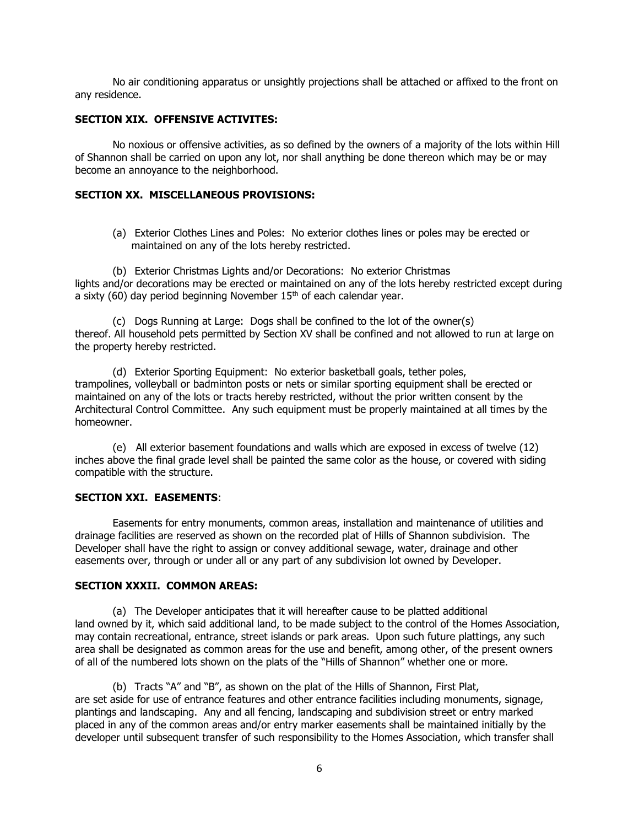No air conditioning apparatus or unsightly projections shall be attached or affixed to the front on any residence.

## **SECTION XIX. OFFENSIVE ACTIVITES:**

No noxious or offensive activities, as so defined by the owners of a majority of the lots within Hill of Shannon shall be carried on upon any lot, nor shall anything be done thereon which may be or may become an annoyance to the neighborhood.

# **SECTION XX. MISCELLANEOUS PROVISIONS:**

(a) Exterior Clothes Lines and Poles: No exterior clothes lines or poles may be erected or maintained on any of the lots hereby restricted.

(b) Exterior Christmas Lights and/or Decorations: No exterior Christmas lights and/or decorations may be erected or maintained on any of the lots hereby restricted except during a sixty (60) day period beginning November  $15<sup>th</sup>$  of each calendar year.

(c) Dogs Running at Large: Dogs shall be confined to the lot of the owner(s) thereof. All household pets permitted by Section XV shall be confined and not allowed to run at large on the property hereby restricted.

(d) Exterior Sporting Equipment: No exterior basketball goals, tether poles, trampolines, volleyball or badminton posts or nets or similar sporting equipment shall be erected or maintained on any of the lots or tracts hereby restricted, without the prior written consent by the Architectural Control Committee. Any such equipment must be properly maintained at all times by the homeowner.

(e) All exterior basement foundations and walls which are exposed in excess of twelve (12) inches above the final grade level shall be painted the same color as the house, or covered with siding compatible with the structure.

## **SECTION XXI. EASEMENTS**:

Easements for entry monuments, common areas, installation and maintenance of utilities and drainage facilities are reserved as shown on the recorded plat of Hills of Shannon subdivision. The Developer shall have the right to assign or convey additional sewage, water, drainage and other easements over, through or under all or any part of any subdivision lot owned by Developer.

## **SECTION XXXII. COMMON AREAS:**

(a) The Developer anticipates that it will hereafter cause to be platted additional land owned by it, which said additional land, to be made subject to the control of the Homes Association, may contain recreational, entrance, street islands or park areas. Upon such future plattings, any such area shall be designated as common areas for the use and benefit, among other, of the present owners of all of the numbered lots shown on the plats of the "Hills of Shannon" whether one or more.

(b) Tracts "A" and "B", as shown on the plat of the Hills of Shannon, First Plat, are set aside for use of entrance features and other entrance facilities including monuments, signage, plantings and landscaping. Any and all fencing, landscaping and subdivision street or entry marked placed in any of the common areas and/or entry marker easements shall be maintained initially by the developer until subsequent transfer of such responsibility to the Homes Association, which transfer shall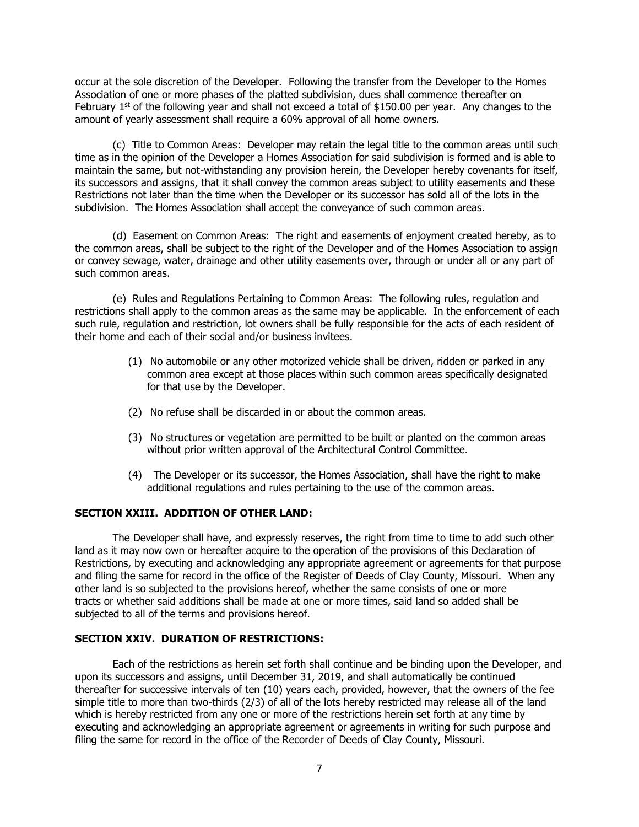occur at the sole discretion of the Developer. Following the transfer from the Developer to the Homes Association of one or more phases of the platted subdivision, dues shall commence thereafter on February 1<sup>st</sup> of the following year and shall not exceed a total of \$150.00 per year. Any changes to the amount of yearly assessment shall require a 60% approval of all home owners.

(c) Title to Common Areas: Developer may retain the legal title to the common areas until such time as in the opinion of the Developer a Homes Association for said subdivision is formed and is able to maintain the same, but not-withstanding any provision herein, the Developer hereby covenants for itself, its successors and assigns, that it shall convey the common areas subject to utility easements and these Restrictions not later than the time when the Developer or its successor has sold all of the lots in the subdivision. The Homes Association shall accept the conveyance of such common areas.

(d) Easement on Common Areas: The right and easements of enjoyment created hereby, as to the common areas, shall be subject to the right of the Developer and of the Homes Association to assign or convey sewage, water, drainage and other utility easements over, through or under all or any part of such common areas.

(e) Rules and Regulations Pertaining to Common Areas: The following rules, regulation and restrictions shall apply to the common areas as the same may be applicable. In the enforcement of each such rule, regulation and restriction, lot owners shall be fully responsible for the acts of each resident of their home and each of their social and/or business invitees.

- (1) No automobile or any other motorized vehicle shall be driven, ridden or parked in any common area except at those places within such common areas specifically designated for that use by the Developer.
- (2) No refuse shall be discarded in or about the common areas.
- (3) No structures or vegetation are permitted to be built or planted on the common areas without prior written approval of the Architectural Control Committee.
- (4) The Developer or its successor, the Homes Association, shall have the right to make additional regulations and rules pertaining to the use of the common areas.

# **SECTION XXIII. ADDITION OF OTHER LAND:**

The Developer shall have, and expressly reserves, the right from time to time to add such other land as it may now own or hereafter acquire to the operation of the provisions of this Declaration of Restrictions, by executing and acknowledging any appropriate agreement or agreements for that purpose and filing the same for record in the office of the Register of Deeds of Clay County, Missouri. When any other land is so subjected to the provisions hereof, whether the same consists of one or more tracts or whether said additions shall be made at one or more times, said land so added shall be subjected to all of the terms and provisions hereof.

## **SECTION XXIV. DURATION OF RESTRICTIONS:**

Each of the restrictions as herein set forth shall continue and be binding upon the Developer, and upon its successors and assigns, until December 31, 2019, and shall automatically be continued thereafter for successive intervals of ten (10) years each, provided, however, that the owners of the fee simple title to more than two-thirds (2/3) of all of the lots hereby restricted may release all of the land which is hereby restricted from any one or more of the restrictions herein set forth at any time by executing and acknowledging an appropriate agreement or agreements in writing for such purpose and filing the same for record in the office of the Recorder of Deeds of Clay County, Missouri.